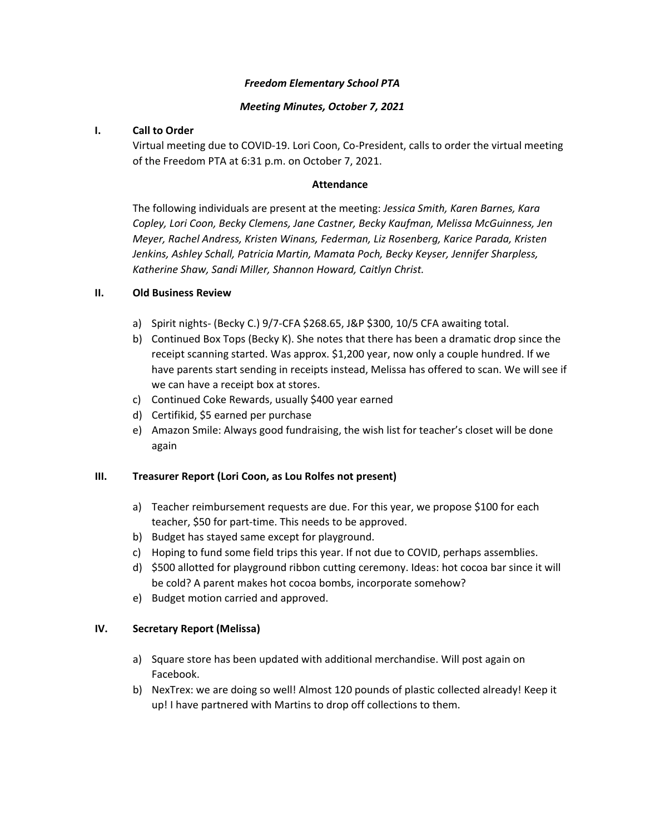#### *Freedom Elementary School PTA*

### *Meeting Minutes, October 7, 2021*

## **I. Call to Order**

Virtual meeting due to COVID-19. Lori Coon, Co-President, calls to order the virtual meeting of the Freedom PTA at 6:31 p.m. on October 7, 2021.

### **Attendance**

The following individuals are present at the meeting: *Jessica Smith, Karen Barnes, Kara Copley, Lori Coon, Becky Clemens, Jane Castner, Becky Kaufman, Melissa McGuinness, Jen Meyer, Rachel Andress, Kristen Winans, Federman, Liz Rosenberg, Karice Parada, Kristen Jenkins, Ashley Schall, Patricia Martin, Mamata Poch, Becky Keyser, Jennifer Sharpless, Katherine Shaw, Sandi Miller, Shannon Howard, Caitlyn Christ.* 

## **II. Old Business Review**

- a) Spirit nights- (Becky C.) 9/7-CFA \$268.65, J&P \$300, 10/5 CFA awaiting total.
- b) Continued Box Tops (Becky K). She notes that there has been a dramatic drop since the receipt scanning started. Was approx. \$1,200 year, now only a couple hundred. If we have parents start sending in receipts instead, Melissa has offered to scan. We will see if we can have a receipt box at stores.
- c) Continued Coke Rewards, usually \$400 year earned
- d) Certifikid, \$5 earned per purchase
- e) Amazon Smile: Always good fundraising, the wish list for teacher's closet will be done again

#### **III. Treasurer Report (Lori Coon, as Lou Rolfes not present)**

- a) Teacher reimbursement requests are due. For this year, we propose \$100 for each teacher, \$50 for part-time. This needs to be approved.
- b) Budget has stayed same except for playground.
- c) Hoping to fund some field trips this year. If not due to COVID, perhaps assemblies.
- d) \$500 allotted for playground ribbon cutting ceremony. Ideas: hot cocoa bar since it will be cold? A parent makes hot cocoa bombs, incorporate somehow?
- e) Budget motion carried and approved.

#### **IV. Secretary Report (Melissa)**

- a) Square store has been updated with additional merchandise. Will post again on Facebook.
- b) NexTrex: we are doing so well! Almost 120 pounds of plastic collected already! Keep it up! I have partnered with Martins to drop off collections to them.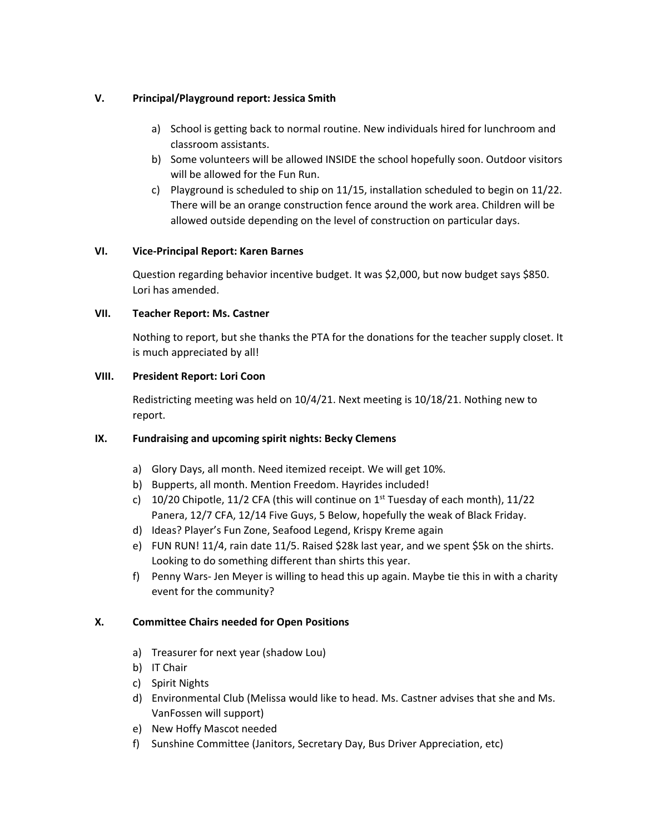# **V. Principal/Playground report: Jessica Smith**

- a) School is getting back to normal routine. New individuals hired for lunchroom and classroom assistants.
- b) Some volunteers will be allowed INSIDE the school hopefully soon. Outdoor visitors will be allowed for the Fun Run.
- c) Playground is scheduled to ship on 11/15, installation scheduled to begin on 11/22. There will be an orange construction fence around the work area. Children will be allowed outside depending on the level of construction on particular days.

# **VI. Vice-Principal Report: Karen Barnes**

Question regarding behavior incentive budget. It was \$2,000, but now budget says \$850. Lori has amended.

# **VII. Teacher Report: Ms. Castner**

Nothing to report, but she thanks the PTA for the donations for the teacher supply closet. It is much appreciated by all!

# **VIII. President Report: Lori Coon**

Redistricting meeting was held on 10/4/21. Next meeting is 10/18/21. Nothing new to report.

# **IX. Fundraising and upcoming spirit nights: Becky Clemens**

- a) Glory Days, all month. Need itemized receipt. We will get 10%.
- b) Bupperts, all month. Mention Freedom. Hayrides included!
- c) 10/20 Chipotle, 11/2 CFA (this will continue on  $1<sup>st</sup>$  Tuesday of each month), 11/22 Panera, 12/7 CFA, 12/14 Five Guys, 5 Below, hopefully the weak of Black Friday.
- d) Ideas? Player's Fun Zone, Seafood Legend, Krispy Kreme again
- e) FUN RUN! 11/4, rain date 11/5. Raised \$28k last year, and we spent \$5k on the shirts. Looking to do something different than shirts this year.
- f) Penny Wars- Jen Meyer is willing to head this up again. Maybe tie this in with a charity event for the community?

# **X. Committee Chairs needed for Open Positions**

- a) Treasurer for next year (shadow Lou)
- b) IT Chair
- c) Spirit Nights
- d) Environmental Club (Melissa would like to head. Ms. Castner advises that she and Ms. VanFossen will support)
- e) New Hoffy Mascot needed
- f) Sunshine Committee (Janitors, Secretary Day, Bus Driver Appreciation, etc)